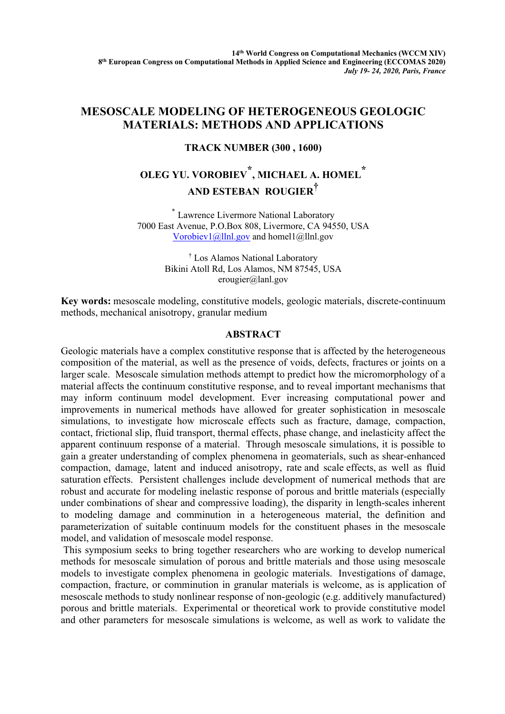## **MESOSCALE MODELING OF HETEROGENEOUS GEOLOGIC MATERIALS: METHODS AND APPLICATIONS**

## **TRACK NUMBER (300 , 1600)**

## **OLEG YU. VOROBIEV \*, MICHAEL A. HOMEL \* AND ESTEBAN ROUGIER†**

\* Lawrence Livermore National Laboratory 7000 East Avenue, P.O.Box 808, Livermore, CA 94550, USA Vorobiev1@llnl.gov and homel1@llnl.gov

> † Los Alamos National Laboratory Bikini Atoll Rd, Los Alamos, NM 87545, USA erougier@lanl.gov

**Key words:** mesoscale modeling, constitutive models, geologic materials, discrete-continuum methods, mechanical anisotropy, granular medium

## **ABSTRACT**

Geologic materials have a complex constitutive response that is affected by the heterogeneous composition of the material, as well as the presence of voids, defects, fractures or joints on a larger scale. Mesoscale simulation methods attempt to predict how the micromorphology of a material affects the continuum constitutive response, and to reveal important mechanisms that may inform continuum model development. Ever increasing computational power and improvements in numerical methods have allowed for greater sophistication in mesoscale simulations, to investigate how microscale effects such as fracture, damage, compaction, contact, frictional slip, fluid transport, thermal effects, phase change, and inelasticity affect the apparent continuum response of a material. Through mesoscale simulations, it is possible to gain a greater understanding of complex phenomena in geomaterials, such as shear-enhanced compaction, damage, latent and induced anisotropy, rate and scale effects, as well as fluid saturation effects. Persistent challenges include development of numerical methods that are robust and accurate for modeling inelastic response of porous and brittle materials (especially under combinations of shear and compressive loading), the disparity in length-scales inherent to modeling damage and comminution in a heterogeneous material, the definition and parameterization of suitable continuum models for the constituent phases in the mesoscale model, and validation of mesoscale model response.

This symposium seeks to bring together researchers who are working to develop numerical methods for mesoscale simulation of porous and brittle materials and those using mesoscale models to investigate complex phenomena in geologic materials. Investigations of damage, compaction, fracture, or comminution in granular materials is welcome, as is application of mesoscale methods to study nonlinear response of non-geologic (e.g. additively manufactured) porous and brittle materials. Experimental or theoretical work to provide constitutive model and other parameters for mesoscale simulations is welcome, as well as work to validate the